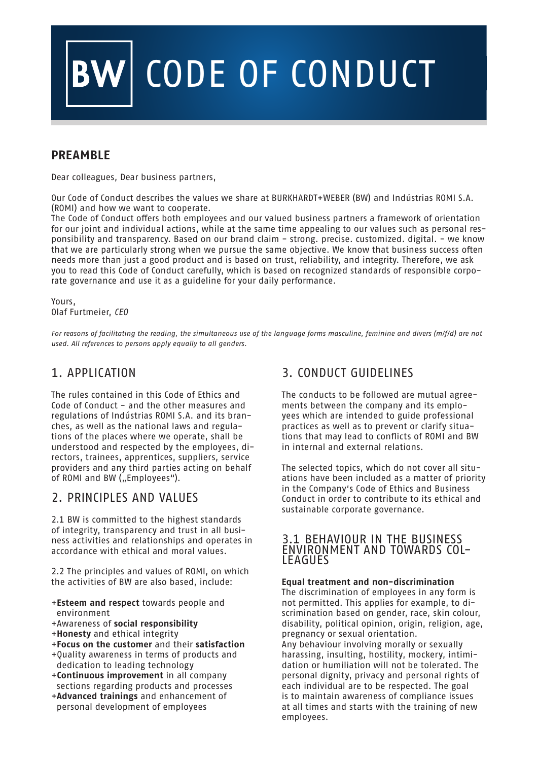# V CODE OF CONDUCT

## **PREAMBLE**

Dear colleagues, Dear business partners,

Our Code of Conduct describes the values we share at BURKHARDT+WEBER (BW) and Indústrias ROMI S.A. (ROMI) and how we want to cooperate.

The Code of Conduct offers both employees and our valued business partners a framework of orientation for our joint and individual actions, while at the same time appealing to our values such as personal responsibility and transparency. Based on our brand claim - strong. precise. customized. digital. - we know that we are particularly strong when we pursue the same objective. We know that business success often needs more than just a good product and is based on trust, reliability, and integrity. Therefore, we ask you to read this Code of Conduct carefully, which is based on recognized standards of responsible corporate governance and use it as a guideline for your daily performance.

Yours, Olaf Furtmeier, CEO

For reasons of facilitating the reading, the simultaneous use of the language forms masculine, feminine and divers (m/f/d) are not used. All references to persons apply equally to all genders.

## 1. APPLICATION

The rules contained in this Code of Ethics and Code of Conduct - and the other measures and regulations of Indústrias ROMI S.A. and its branches, as well as the national laws and regulations of the places where we operate, shall be understood and respected by the employees, directors, trainees, apprentices, suppliers, service providers and any third parties acting on behalf of ROMI and BW ("Employees").

## 2. PRINCIPLES AND VALUES

2.1 BW is committed to the highest standards of integrity, transparency and trust in all business activities and relationships and operates in accordance with ethical and moral values.

2.2 The principles and values of ROMI, on which the activities of BW are also based, include:

- +**Esteem and respect** towards people and environment
- +Awareness of **social responsibility**
- +**Honesty** and ethical integrity
- +**Focus on the customer** and their **satisfaction**
- +Quality awareness in terms of products and dedication to leading technology
- +**Continuous improvement** in all company sections regarding products and processes
- +**Advanced trainings** and enhancement of personal development of employees

## 3. CONDUCT GUIDELINES

The conducts to be followed are mutual agreements between the company and its employees which are intended to guide professional practices as well as to prevent or clarify situations that may lead to conflicts of ROMI and BW in internal and external relations.

The selected topics, which do not cover all situations have been included as a matter of priority in the Company's Code of Ethics and Business Conduct in order to contribute to its ethical and sustainable corporate governance.

## 3.1 BEHAVIOUR IN THE BUSINESS ENVIRONMENT AND TOWARDS COL- LEAGUES

### **Equal treatment and non-discrimination**

The discrimination of employees in any form is not permitted. This applies for example, to discrimination based on gender, race, skin colour, disability, political opinion, origin, religion, age, pregnancy or sexual orientation. Any behaviour involving morally or sexually harassing, insulting, hostility, mockery, intimidation or humiliation will not be tolerated. The personal dignity, privacy and personal rights of each individual are to be respected. The goal is to maintain awareness of compliance issues at all times and starts with the training of new employees.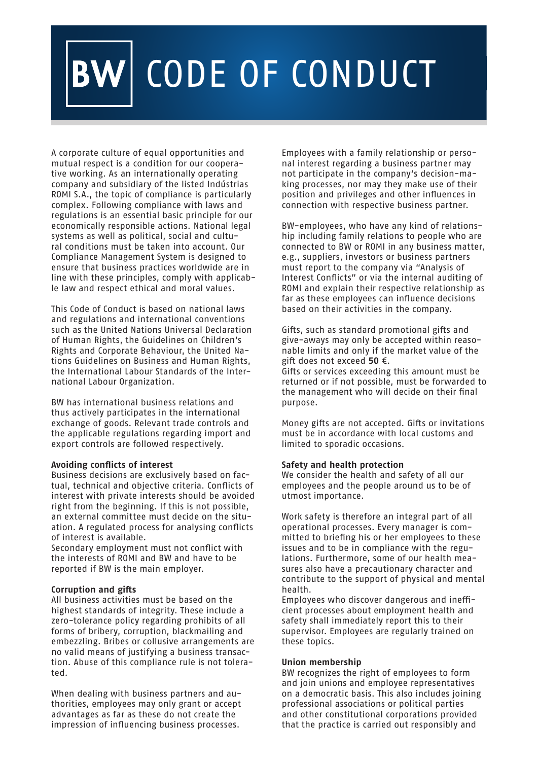## V CODE OF CONDUCT

A corporate culture of equal opportunities and mutual respect is a condition for our cooperative working. As an internationally operating company and subsidiary of the listed Indústrias ROMI S.A., the topic of compliance is particularly complex. Following compliance with laws and regulations is an essential basic principle for our economically responsible actions. National legal systems as well as political, social and cultural conditions must be taken into account. Our Compliance Management System is designed to ensure that business practices worldwide are in line with these principles, comply with applicable law and respect ethical and moral values.

This Code of Conduct is based on national laws and regulations and international conventions such as the United Nations Universal Declaration of Human Rights, the Guidelines on Children's Rights and Corporate Behaviour, the United Nations Guidelines on Business and Human Rights, the International Labour Standards of the International Labour Organization.

BW has international business relations and thus actively participates in the international exchange of goods. Relevant trade controls and the applicable regulations regarding import and export controls are followed respectively.

#### **Avoiding conflicts of interest**

Business decisions are exclusively based on factual, technical and objective criteria. Conflicts of interest with private interests should be avoided right from the beginning. If this is not possible, an external committee must decide on the situation. A regulated process for analysing conflicts of interest is available.

Secondary employment must not conflict with the interests of ROMI and BW and have to be reported if BW is the main employer.

### **Corruption and gifts**

All business activities must be based on the highest standards of integrity. These include a zero-tolerance policy regarding prohibits of all forms of bribery, corruption, blackmailing and embezzling. Bribes or collusive arrangements are no valid means of justifying a business transaction. Abuse of this compliance rule is not tolerated.

When dealing with business partners and authorities, employees may only grant or accept advantages as far as these do not create the impression of influencing business processes.

Employees with a family relationship or personal interest regarding a business partner may not participate in the company's decision-making processes, nor may they make use of their position and privileges and other influences in connection with respective business partner.

BW-employees, who have any kind of relationship including family relations to people who are connected to BW or ROMI in any business matter, e.g., suppliers, investors or business partners must report to the company via "Analysis of Interest Conflicts" or via the internal auditing of ROMI and explain their respective relationship as far as these employees can influence decisions based on their activities in the company.

Gifts, such as standard promotional gifts and give-aways may only be accepted within reasonable limits and only if the market value of the gift does not exceed **50** €.

Gifts or services exceeding this amount must be returned or if not possible, must be forwarded to the management who will decide on their final purpose.

Money gifts are not accepted. Gifts or invitations must be in accordance with local customs and limited to sporadic occasions.

### **Safety and health protection**

We consider the health and safety of all our employees and the people around us to be of utmost importance.

Work safety is therefore an integral part of all operational processes. Every manager is committed to briefing his or her employees to these issues and to be in compliance with the regulations. Furthermore, some of our health measures also have a precautionary character and contribute to the support of physical and mental health.

Employees who discover dangerous and inefficient processes about employment health and safety shall immediately report this to their supervisor. Employees are regularly trained on these topics.

#### **Union membership**

BW recognizes the right of employees to form and join unions and employee representatives on a democratic basis. This also includes joining professional associations or political parties and other constitutional corporations provided that the practice is carried out responsibly and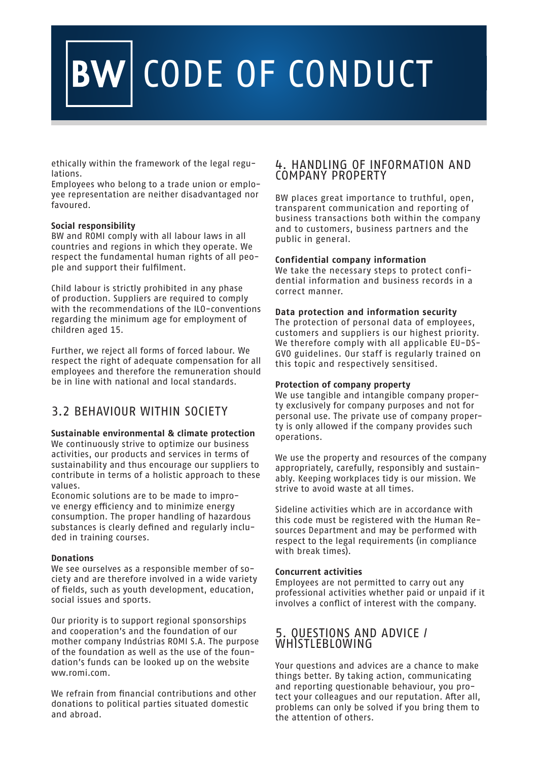## **W CODE OF CONDUCT**

ethically within the framework of the legal regulations.

Employees who belong to a trade union or employee representation are neither disadvantaged nor favoured.

### **Social responsibility**

BW and ROMI comply with all labour laws in all countries and regions in which they operate. We respect the fundamental human rights of all people and support their fulfilment.

Child labour is strictly prohibited in any phase of production. Suppliers are required to comply with the recommendations of the ILO-conventions regarding the minimum age for employment of children aged 15.

Further, we reject all forms of forced labour. We respect the right of adequate compensation for all employees and therefore the remuneration should be in line with national and local standards.

## 3.2 BEHAVIOUR WITHIN SOCIETY

### **Sustainable environmental & climate protection**

We continuously strive to optimize our business activities, our products and services in terms of sustainability and thus encourage our suppliers to contribute in terms of a holistic approach to these values.

Economic solutions are to be made to improve energy efficiency and to minimize energy consumption. The proper handling of hazardous substances is clearly defined and regularly included in training courses.

### **Donations**

We see ourselves as a responsible member of society and are therefore involved in a wide variety of fields, such as youth development, education, social issues and sports.

Our priority is to support regional sponsorships and cooperation's and the foundation of our mother company Indústrias ROMI S.A. The purpose of the foundation as well as the use of the foundation's funds can be looked up on the website ww.romi.com.

We refrain from financial contributions and other donations to political parties situated domestic and abroad.

## 4. HANDLING OF INFORMATION AND COMPANY PROPERTY

BW places great importance to truthful, open, transparent communication and reporting of business transactions both within the company and to customers, business partners and the public in general.

## **Confidential company information**

We take the necessary steps to protect confidential information and business records in a correct manner.

## **Data protection and information security**

The protection of personal data of employees, customers and suppliers is our highest priority. We therefore comply with all applicable EU-DS-GVO guidelines. Our staff is regularly trained on this topic and respectively sensitised.

## **Protection of company property**

We use tangible and intangible company property exclusively for company purposes and not for personal use. The private use of company property is only allowed if the company provides such operations.

We use the property and resources of the company appropriately, carefully, responsibly and sustainably. Keeping workplaces tidy is our mission. We strive to avoid waste at all times.

Sideline activities which are in accordance with this code must be registered with the Human Resources Department and may be performed with respect to the legal requirements (in compliance with break times).

### **Concurrent activities**

Employees are not permitted to carry out any professional activities whether paid or unpaid if it involves a conflict of interest with the company.

## 5. QUESTIONS AND ADVICE / **WHISTLEBLOWING**

Your questions and advices are a chance to make things better. By taking action, communicating and reporting questionable behaviour, you protect your colleagues and our reputation. After all, problems can only be solved if you bring them to the attention of others.